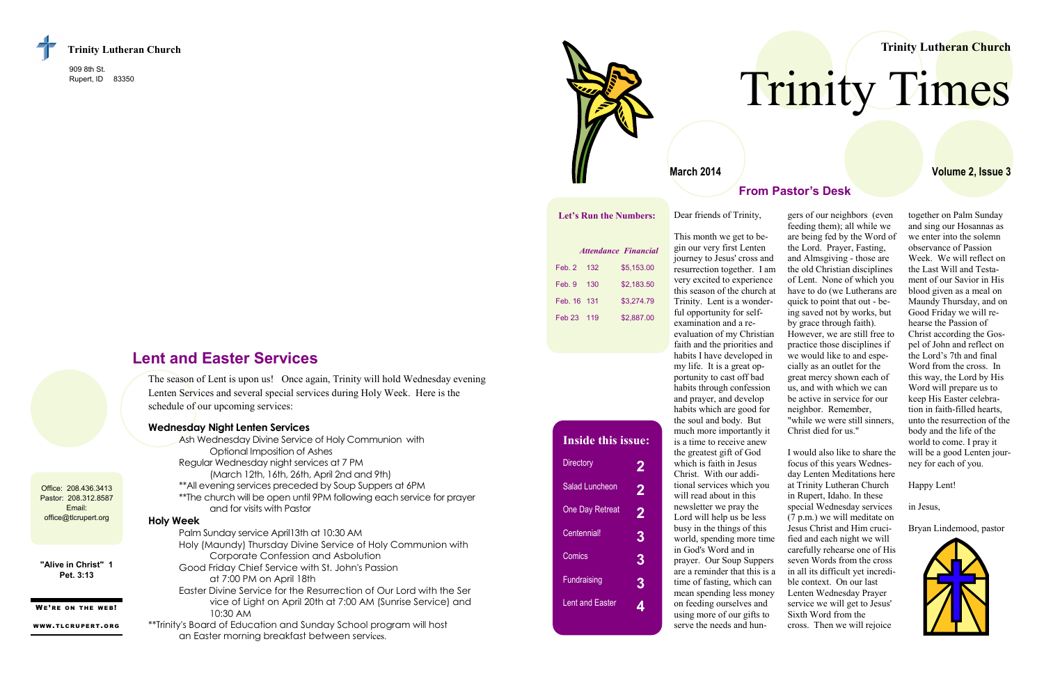909 8th St. Rupert, ID 83350

> The season of Lent is upon us! Once again, Trinity will hold Wednesday evening Lenten Services and several special services during Holy Week. Here is the schedule of our upcoming services:

Office: 208.436.3413 Pastor: 208.312.8587 Email: office@tlcrupert.org



#### **Wednesday Night Lenten Services**

| Ash Wednesday Divine Service of Holy Communion with                                                 |
|-----------------------------------------------------------------------------------------------------|
| Optional Imposition of Ashes                                                                        |
| Regular Wednesday night services at 7 PM                                                            |
| (March 12th, 16th, 26th, April 2nd and 9th)                                                         |
| ** All evening services preceded by Soup Suppers at 6PM                                             |
| **The church will be open until 9PM following each service for prayer<br>and for visits with Pastor |
| <b>Holy Week</b>                                                                                    |
| Palm Sunday service April 13th at 10:30 AM                                                          |
| Holy (Maundy) Thursday Divine Service of Holy Communion with                                        |
| Corporate Confession and Asbolution                                                                 |
| Good Friday Chief Service with St. John's Passion                                                   |
| at 7:00 PM on April 18th                                                                            |
| Easter Divine Service for the Resurrection of Our Lord with the Ser                                 |
| vice of Light on April 20th at 7:00 AM (Sunrise Service) and                                        |
| 10:30 AM                                                                                            |
| **Trinity's Board of Education and Sunday School program will host                                  |
| an Easter morning breakfast between services.                                                       |

## **Lent and Easter Services**

**"Alive in Christ" 1 Pet. 3:13**

WE'RE ON THE WEB!

WWW.TLCRUPERT.ORG



#### **From Pastor's Desk**

together on Palm Sunday and sing our Hosannas as we enter into the solemn observance of Passion Week. We will reflect on the Last Will and Testament of our Savior in His blood given as a meal on Maundy Thursday, and on Good Friday we will rehearse the Passion of Christ according the Gospel of John and reflect on the Lord's 7th and final Word from the cross. In this way, the Lord by His Word will prepare us to keep His Easter celebration in faith-filled hearts, unto the resurrection of the body and the life of the world to come. I pray it will be a good Lenten journey for each of you.

#### Happy Lent!

in Jesus,

Bryan Lindemood, pastor



Dear friends of Trinity,

This month we get to begin our very first Lenten journey to Jesus' cross and resurrection together. I am very excited to experience this season of the church at Trinity. Lent is a wonderful opportunity for selfexamination and a reevaluation of my Christian faith and the priorities and habits I have developed in my life. It is a great opportunity to cast off bad habits through confession and prayer, and develop habits which are good for the soul and body. But much more importantly it is a time to receive anew the greatest gift of God which is faith in Jesus Christ. With our additional services which you will read about in this newsletter we pray the Lord will help us be less busy in the things of this world, spending more time in God's Word and in prayer. Our Soup Suppers are a reminder that this is a time of fasting, which can mean spending less money on feeding ourselves and using more of our gifts to serve the needs and hun-

gers of our neighbors (even feeding them); all while we are being fed by the Word of the Lord. Prayer, Fasting, and Almsgiving - those are the old Christian disciplines of Lent. None of which you have to do (we Lutherans are quick to point that out - being saved not by works, but by grace through faith). However, we are still free to practice those disciplines if we would like to and especially as an outlet for the great mercy shown each of us, and with which we can be active in service for our neighbor. Remember, "while we were still sinners, Christ died for us."

I would also like to share the focus of this years Wednesday Lenten Meditations here at Trinity Lutheran Church in Rupert, Idaho. In these special Wednesday services (7 p.m.) we will meditate on Jesus Christ and Him crucified and each night we will carefully rehearse one of His seven Words from the cross in all its difficult yet incredible context. On our last Lenten Wednesday Prayer service we will get to Jesus' Sixth Word from the cross. Then we will rejoice

#### **Trinity Lutheran Church**

**Volume 2, Issue 3**

# Trinity Times

**Let's Run the Numbers:**

|               |     | <i><b>Attendance Financial</b></i> |
|---------------|-----|------------------------------------|
| $Feb$ 2       | 132 | \$5.153.00                         |
| Feb. 9        | 130 | \$2.183.50                         |
| Feb. 16 131   |     | \$3,274.79                         |
| <b>Feb 23</b> | 119 | \$2,887.00                         |

# **Inside this issue:**

| <b>Directory</b>       | 2 |
|------------------------|---|
| <b>Salad Luncheon</b>  | 2 |
| <b>One Day Retreat</b> | 2 |
| Centennial!            | 3 |
| Comics                 | 3 |
| <b>Fundraising</b>     | 3 |
| <b>Lent and Easter</b> |   |

#### **March 2014**